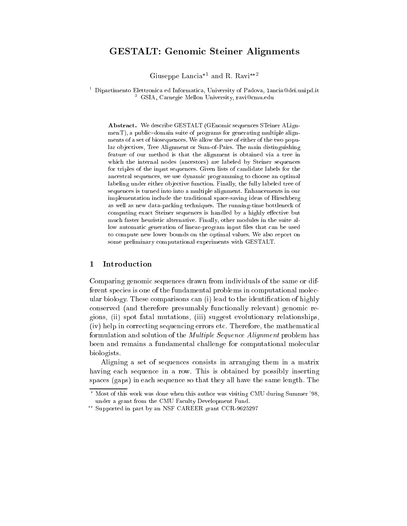# **GESTALT: Genomic Steiner Alignments**

Giuseppe Lancia<sup>\*1</sup> and R. Rayi<sup>\*\*2</sup>

<sup>1</sup> Dipartimento Elettronica ed Informatica, University of Padova, Lancia@dei.unipd.it <sup>2</sup> GSIA, Carnegie Mellon University, ravi@cmu.edu

**Abstract.** We describe GESTALT (GEnomic sequences STeiner ALignmenT), a public-domain suite of programs for generating multiple alignments of a set of biosequences. We allow the use of either of the two popular objectives. Tree Alignment or Sum-of-Pairs. The main distinguishing feature of our method is that the alignment is obtained via a tree in which the internal nodes (ancestors) are labeled by Steiner sequences for triples of the input sequences. Given lists of candidate labels for the ancestral sequences, we use dynamic programming to choose an optimal labeling under either objective function. Finally, the fully labeled tree of sequences is turned into into a multiple alignment. Enhancements in our implementation include the traditional space-saving ideas of Hirschberg as well as new data-packing techniques. The running-time bottleneck of computing exact Steiner sequences is handled by a highly effective but much faster heuristic alternative. Finally, other modules in the suite allow automatic generation of linear-program input files that can be used to compute new lower bounds on the optimal values. We also report on some preliminary computational experiments with GESTALT.

#### Introduction 1

Comparing genomic sequences drawn from individuals of the same or different species is one of the fundamental problems in computational molecular biology. These comparisons can (i) lead to the identification of highly conserved (and therefore presumably functionally relevant) genomic regions, (ii) spot fatal mutations, (iii) suggest evolutionary relationships. (iv) help in correcting sequencing errors etc. Therefore, the mathematical formulation and solution of the *Multiple Sequence Alignment* problem has been and remains a fundamental challenge for computational molecular biologists.

Aligning a set of sequences consists in arranging them in a matrix having each sequence in a row. This is obtained by possibly inserting spaces (gaps) in each sequence so that they all have the same length. The

Most of this work was done when this author was visiting CMU during Summer '98, under a grant from the CMU Faculty Development Fund.

<sup>\*\*</sup> Supported in part by an NSF CAREER grant CCR-9625297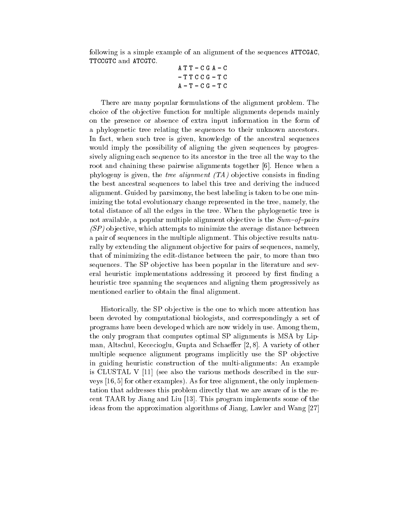following is a simple example of an alignment of the sequen
es ATTCGAC, TTCCGTC and ATCGTC.

$$
\begin{array}{cccc}\nA & T & T & - & C & G & A & - & C \\
- & T & T & C & C & G & - & T & C \\
A & - & T & - & C & G & - & T & C\n\end{array}
$$

There are many popular formulations of the alignment problem. The choice of the objective function for multiple alignments depends mainly on the presen
e or absen
e of extra input information in the form of a phylogenetic tree relating the sequences to their unknown ancestors. In fact, when such tree is given, knowledge of the ancestral sequences would imply the possibility of aligning the given sequences by progressively aligning each sequence to its ancestor in the tree all the way to the root and chaining these pairwise alignments together [6]. Hence when a phylogeny is given, the *tree alignment*  $(TA)$  objective consists in finding the best an
estral sequen
es to label this tree and deriving the indu
ed alignment. Guided by parsimony, the best labeling is taken to be one minimizing the total evolutionary change represented in the tree, namely, the total distan
e of all the edges in the tree. When the phylogeneti tree is not available, a popular multiple alignment objective is the  $Sum-of-pairs$  $(SP)$  objective, which attempts to minimize the average distance between a pair of sequences in the multiple alignment. This objective results naturally by extending the alignment objective for pairs of sequences, namely, that of minimizing the edit-distan
e between the pair, to more than two sequences. The SP objective has been popular in the literature and several heuristic implementations addressing it proceed by first finding a heuristic tree spanning the sequences and aligning them progressively as mentioned earlier to obtain the final alignment.

Historically, the SP objective is the one to which more attention has been devoted by omputational biologists, and orrespondingly a set of programs have been developed whi
h are now widely in use. Among them, the only program that omputes optimal SP alignments is MSA by Lipman, Altschul, Kececioglu, Gupta and Schaeffer [2,8]. A variety of other multiple sequence alignment programs implicitly use the SP objective in guiding heuristic construction of the multi-alignments: An example is CLUSTAL V  $[11]$  (see also the various methods described in the surveys  $[16, 5]$  for other examples). As for tree alignment, the only implementation that addresses this problem directly that we are aware of is the recent TAAR by Jiang and Liu  $[13]$ . This program implements some of the ideas from the approximation algorithms of Jiang, Lawler and Wang [27]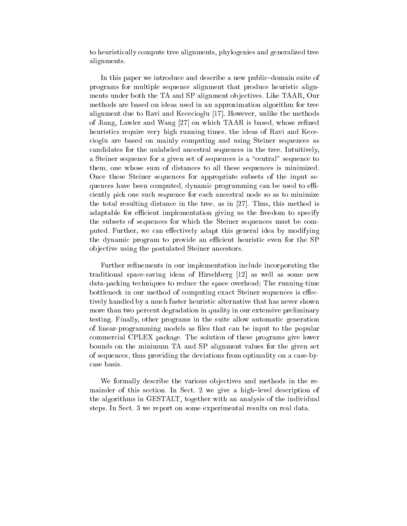to heuristically compute tree alignments, phylogenies and generalized tree alignments.

In this paper we introduce and describe a new public-domain suite of programs for multiple sequence alignment that produce heuristic alignments under both the TA and SP alignment objectives. Like TAAR, Our methods are based on ideas used in an approximation algorithm for tree alignment due to Ravi and Kececioglu [17]. However, unlike the methods of Jiang, Lawler and Wang [27] on which TAAR is based, whose refined heuristics require very high running times, the ideas of Ravi and Kececioglu are based on mainly computing and using Steiner sequences as candidates for the unlabeled ancestral sequences in the tree. Intuitively, a Steiner sequence for a given set of sequences is a "central" sequence to them, one whose sum of distances to all these sequences is minimized. Once these Steiner sequences for appropriate subsets of the input sequences have been computed, dynamic programming can be used to efficiently pick one such sequence for each ancestral node so as to minimize the total resulting distance in the tree, as in [27]. Thus, this method is adaptable for efficient implementation giving us the freedom to specify the subsets of sequences for which the Steiner sequences must be computed. Further, we can effectively adapt this general idea by modifying the dynamic program to provide an efficient heuristic even for the SP objective using the postulated Steiner ancestors.

Further refinements in our implementation include incorporating the traditional space saving ideas of Hirschberg [12] as well as some new data-packing techniques to reduce the space overhead; The running-time bottleneck in our method of computing exact Steiner sequences is effectively handled by a much faster heuristic alternative that has never shown more than two percent degradation in quality in our extensive preliminary testing. Finally, other programs in the suite allow automatic generation of linear-programming models as files that can be input to the popular commercial CPLEX package. The solution of these programs give lower bounds on the minimum TA and SP alignment values for the given set of sequences, thus providing the deviations from optimality on a case-bycase basis.

We formally describe the various objectives and methods in the remainder of this section. In Sect. 2 we give a high-level description of the algorithms in GESTALT, together with an analysis of the individual steps. In Sect. 3 we report on some experimental results on real data.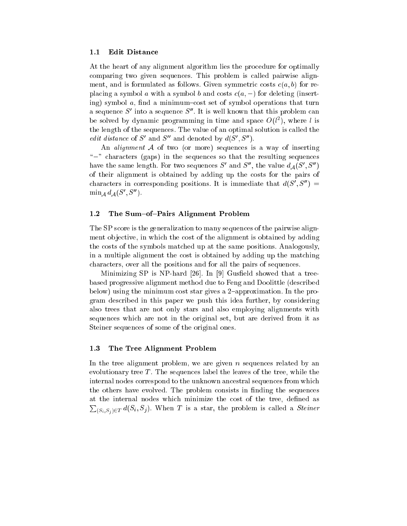### 1.1 Edit Distan
e

At the heart of any alignment algorithm lies the procedure for optimally comparing two given sequences. This problem is called pairwise alignment, and is formulated as follows. Given symmetric costs  $c(a, b)$  for replacing a symbol a with a symbol b and costs  $c(a, -)$  for deleting (inserting) symbol  $a$ , find a minimum-cost set of symbol operations that turn a sequence S' into a sequence S''. It is well known that this problem can be solved by dynamic programming in time and space  $O(l^2)$ , where l is the length of the sequences. The value of an optimal solution is called the edit distance of S' and S'' and denoted by  $d(S', S'')$ .

An *alignment*  $A$  of two (or more) sequences is a way of inserting "-" characters (gaps) in the sequences so that the resulting sequences have the same length. For two sequences  $S'$  and  $S''$ , the value  $d_{\mathcal{A}}(S',S'')$ of their alignment is obtained by adding up the osts for the pairs of characters in corresponding positions. It is immediate that  $d(S', S'') =$  $\min_{\mathcal{A}} d_{\mathcal{A}}(S', S'').$ 

## 1.2 The Sum-of-Pairs Alignment Problem

The SP s
ore is the generalization to many sequen
es of the pairwise alignment objective, in which the cost of the alignment is obtained by adding the osts of the symbols mat
hed up at the same positions. Analogously, in a multiple alignment the ost is obtained by adding up the mat
hing hara
ters, over all the positions and for all the pairs of sequen
es.

Minimizing SP is NP-hard [26]. In [9] Gusfield showed that a treebased progressive alignment method due to Feng and Doolittle (des
ribed below) using the minimum cost star gives a 2-approximation. In the program des
ribed in this paper we push this idea further, by onsidering also trees that are not only stars and also employing alignments with sequen
es whi
h are not in the original set, but are derived from it as Steiner sequen
es of some of the original ones.

## 1.3 The Tree Alignment Problem

In the tree alignment problem, we are given  $n$  sequences related by an evolutionary tree  $T$ . The sequences label the leaves of the tree, while the internal nodes orrespond to the unknown an
estral sequen
es from whi
h the others have evolved. The problem consists in finding the sequences at the internal nodes which minimize the cost of the tree, defined as  $\sum_{(S_i,S_j)\in T} d(S_i,S_j)$ . When T is a star, the problem is called a *Steiner*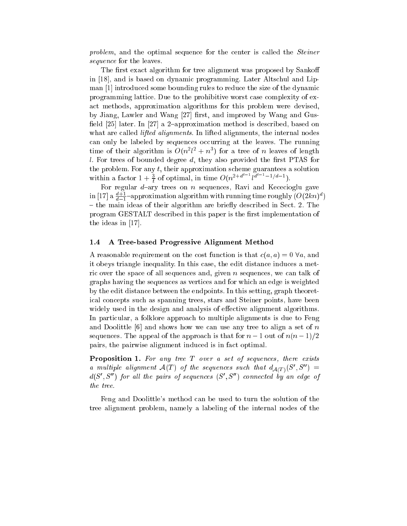problem, and the optimal sequence for the center is called the *Steiner* sequence for the leaves.

The first exact algorithm for tree alignment was proposed by Sankoff in [18], and is based on dynamic programming. Later Altschul and Lipman [1] introduced some bounding rules to reduce the size of the dynamic programming latti
e. Due to the prohibitive worst ase omplexity of exa
t methods, approximation algorithms for this problem were devised, by Jiang, Lawler and Wang [27] first, and improved by Wang and Gusfield  $[25]$  later. In  $[27]$  a 2-approximation method is described, based on what are called *lifted alignments*. In lifted alignments, the internal nodes can only be labeled by sequences occurring at the leaves. The running time of their algorithm is  $O(n^2l^2 + n^3)$  for a tree of n leaves of length  $l.$  For trees of bounded degree  $d$ , they also provided the first PTAS for the problem. For any  $t$ , their approximation scheme guarantees a solution within a factor  $1 + \frac{3}{t}$  of optimal, in time  $O(n^{2+d^{n-1}}l^{d^{n-1}-1/d-1}).$ 

For regular  $d$ -ary trees on n sequences, Ravi and Kececioglu gave in [17] a  $\frac{a+1}{d-1}$ -approximation algorithm with running time roughly  $(O(2kn)^d)$ - the main ideas of their algorithm are briefly described in Sect. 2. The program GESTALT described in this paper is the first implementation of the ideas in  $[17]$ .

### 1.4 A Tree-based Progressive Alignment Method

A reasonable requirement on the cost function is that  $c(a, a) = 0 \; \forall a$ , and it obeys triangle inequality. In this ase, the edit distan
e indu
es a metric over the space of all sequences and, given  $n$  sequences, we can talk of graphs having the sequen
es as verti
es and for whi
h an edge is weighted by the edit distan
e between the endpoints. In this setting, graph theoreti
al on
epts su
h as spanning trees, stars and Steiner points, have been widely used in the design and analysis of effective alignment algorithms. In particular, a folklore approach to multiple alignments is due to Feng and Doolittle  $[6]$  and shows how we can use any tree to align a set of n sequences. The appeal of the approach is that for  $n-1$  out of  $n(n-1)/2$ pairs, the pairwise alignment indu
ed is in fa
t optimal.

**Proposition 1.** For any tree  $T$  over a set of sequences, there exists a multiple alignment  $\mathcal{A}(T)$  of the sequences such that  $d_{\mathcal{A}(T)}(S',S'') =$  $d(S',S'')$  for all the pairs of sequences  $(S',S'')$  connected by an edge of the tree.

Feng and Doolittle's method an be used to turn the solution of the tree alignment problem, namely a labeling of the internal nodes of the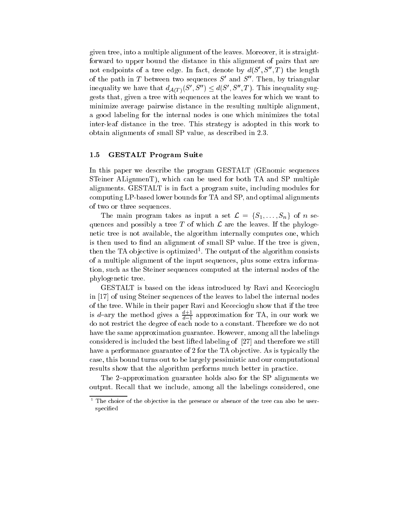given tree, into a multiple alignment of the leaves. Moreover, it is straightforward to upper bound the distan
e in this alignment of pairs that are not endpoints of a tree edge. In fact, denote by  $d(S', S'', T)$  the length of the path in T between two sequences  $S'$  and  $S''$ . Then, by triangular inequality we have that  $d_{\mathcal{A}(T)}(S',S'') \leq d(S',S'',T)$ . This inequality suggests that, given a tree with sequen
es at the leaves for whi
h we want to minimize average pairwise distance in the resulting multiple alignment, a good labeling for the internal nodes is one whi
h minimizes the total inter-leaf distan
e in the tree. This strategy is adopted in this work to obtain alignments of small SP value, as des
ribed in 2.3.

## 1.5 GESTALT Program Suite

In this paper we describe the program GESTALT (GEnomic sequences STeiner ALignmenT), which can be used for both TA and SP multiple alignments. GESTALT is in fa
t a program suite, in
luding modules for omputing LP-based lower bounds for TA and SP, and optimal alignments of two or three sequen
es.

The main program takes as input a set  $\mathcal{L} = \{S_1, \ldots, S_n\}$  of n sequences and possibly a tree  $T$  of which  $\mathcal L$  are the leaves. If the phylogeneti tree is not available, the algorithm internally omputes one, whi
h is then used to find an alignment of small SP value. If the tree is given, then the TA objective is optimized". The output of the algorithm consists of a multiple alignment of the input sequen
es, plus some extra information, su
h as the Steiner sequen
es omputed at the internal nodes of the phylogeneti tree.

GESTALT is based on the ideas introduced by Ravi and Kececioglu in  $[17]$  of using Steiner sequences of the leaves to label the internal nodes of the tree. While in their paper Ravi and Ke
e
ioglu show that if the tree is d-ary the method gives a  $\frac{a+1}{d-1}$  approximation for TA, in our work we do not restrict the degree of each node to a constant. Therefore we do not have the same approximation guarantee. However, among all the labelings considered is included the best lifted labeling of  $[27]$  and therefore we still have a performance guarantee of 2 for the TA objective. As is typically the ase, this bound turns out to be largely pessimisti and our omputational results show that the algorithm performs much better in practice.

The 2-approximation guarantee holds also for the SP alignments we output. Recall that we include, among all the labelings considered, one

The choice of the objective in the presence or absence of the tree can also be userspecified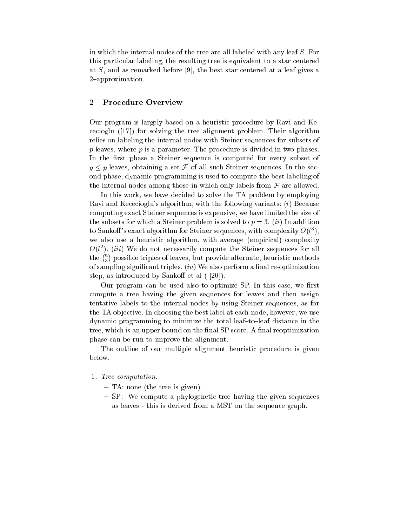in whi
h the internal nodes of the tree are all labeled with any leaf S. For this parti
ular labeling, the resulting tree is equivalent to a star entered at  $S$ , and as remarked before [9], the best star centered at a leaf gives a 2-approximation.

## <sup>2</sup> Pro
edure Overview

Our program is largely based on a heuristi pro
edure by Ravi and Ke cecioglu  $(17)$  for solving the tree alignment problem. Their algorithm relies on labeling the internal nodes with Steiner sequen
es for subsets of  $p$  leaves, where  $p$  is a parameter. The procedure is divided in two phases. In the first phase a Steiner sequence is computed for every subset of  $q \leq p$  leaves, obtaining a set  $\mathcal F$  of all such Steiner sequences. In the second phase, dynamic programming is used to compute the best labeling of the internal nodes among those in which only labels from  $\mathcal F$  are allowed.

In this work, we have decided to solve the TA problem by employing Ravi and Kececioglu's algorithm, with the following variants: (*i*) Because omputing exa
t Steiner sequen
es is expensive, we have limited the size of the subsets for which a Steiner problem is solved to  $p = 3$ . *(ii)* In addition to Sankoff's exact algorithm for Steiner sequences, with complexity  $O(l^3)$ , we also use a heuristic algorithm, with average (empirical) complexity  $O(l^2)$ . (*iii*) We do not necessarily compute the Steiner sequences for all the  $\binom{n}{2}$ of sampling significant triples.  $(iv)$  We also perform a final re-optimization possible triples of leaves, but provide alternate, heuristi methods step, as introduced by Sankoff et al  $(20)$ .

Our program can be used also to optimize SP. In this case, we first ompute a tree having the given sequen
es for leaves and then assign tentative labels to the internal nodes by using Steiner sequences, as for the TA objective. In choosing the best label at each node, however, we use dynamic programming to minimize the total leaf-to-leaf distance in the tree, which is an upper bound on the final SP score. A final reoptimization phase an be run to improve the alignment.

The outline of our multiple alignment heuristic procedure is given below.

- 1. Tree omputation.
	- { TA: none (the tree is given).
	- SP: We compute a phylogenetic tree having the given sequences as leaves - this is derived from a MST on the sequen
	e graph.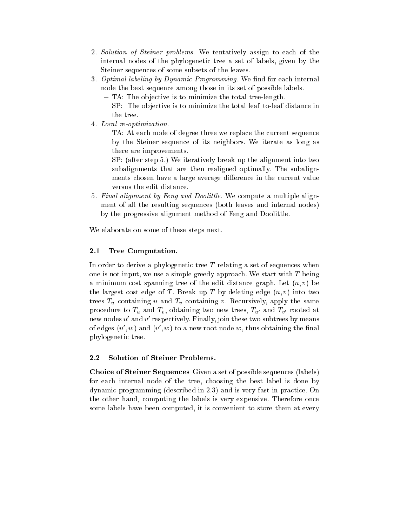- 2. Solution of Steiner problems. We tentatively assign to each of the internal nodes of the phylogeneti tree a set of labels, given by the Steiner sequen
es of some subsets of the leaves.
- 3. Optimal labeling by Dynamic Programming. We find for each internal node the best sequen
e among those in its set of possible labels.
	- TA: The objective is to minimize the total tree-length.
	- SP: The objective is to minimize the total leaf-to-leaf distance in the tree.
- 4. Lo
al re-optimization.
	- TA: At each node of degree three we replace the current sequence by the Steiner sequen
	e of its neighbors. We iterate as long as there are improvements.
	- { SP: (after step 5.) We iteratively break up the alignment into two subalignments that are then realigned optimally. The subalignments chosen have a large average difference in the current value versus the edit distan
	e.
- 5. Final alignment by Feng and Doolittle. We compute a multiple alignment of all the resulting sequen
es (both leaves and internal nodes) by the progressive alignment method of Feng and Doolittle.

We elaborate on some of these steps next.

#### $2.1$ Tree Computation.

In order to derive a phylogenetic tree  $T$  relating a set of sequences when one is not input, we use a simple greedy approach. We start with  $T$  being a minimum cost spanning tree of the edit distance graph. Let  $(u, v)$  be the largest cost edge of T. Break up T by deleting edge  $(u, v)$  into two trees  $T_u$  containing u and  $T_v$  containing v. Recursively, apply the same procedure to  $T_u$  and  $T_v$ , obtaining two new trees,  $T_{u'}$  and  $T_{v'}$  rooted at new nodes  $u$  and  $v$  respectively. Finally, join these two subtrees by means of edges  $(u\cdot, w)$  and  $(v\cdot, w)$  to a new root node  $w,$  thus obtaining the final phylogeneti tree.

#### $2.2$ Solution of Steiner Problems.

Choice of Steiner Sequences Given a set of possible sequences (labels) for ea
h internal node of the tree, hoosing the best label is done by dynamic programming (described in 2.3) and is very fast in practice. On the other hand, omputing the labels is very expensive. Therefore on
e some labels have been omputed, it is onvenient to store them at every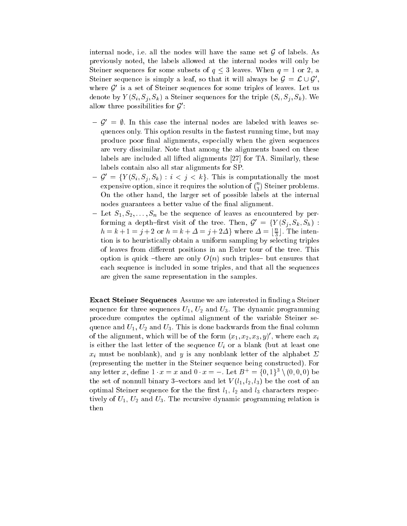internal node, i.e. all the nodes will have the same set  $\mathcal G$  of labels. As previously noted, the labels allowed at the internal nodes will only be Steiner sequences for some subsets of  $q \leq 3$  leaves. When  $q = 1$  or 2, a Steiner sequence is simply a leaf, so that it will always be  $\overline{g} = L \cup \overline{g}$ , where  $\mathcal G$  is a set of Steiner sequences for some triples of leaves. Let us denote by  $Y(S_i, S_j, S_k)$  a Steiner sequences for the triple  $(S_i, S_j, S_k)$ . We allow three possibilities for  $\bm{g}$  :

- ${\cal G}' = \emptyset$ . In this case the internal nodes are labeled with leaves sequen
es only. This option results in the fastest running time, but may produce poor final alignments, especially when the given sequences are very dissimilar. Note that among the alignments based on these labels are included all lifted alignments [27] for TA. Similarly, these labels ontain also all star alignments for SP.
- ${\cal G}' = \{Y(S_i, S_j, S_k) : i < j < k\}.$  This is computationally the most expensive option, since it requires the solution of  $\binom{n}{2}$ Steiner problems. On the other hand, the larger set of possible labels at the internal nodes guarantees a better value of the final alignment.
- Let  $S_1, S_2, \ldots, S_n$  be the sequence of leaves as encountered by performing a depth-first visit of the tree. Then,  $\mathcal{G}' = \{Y(S_j, S_k, S_h) :$  $h = k + 1 = j + 2$  or  $h = k + \Delta = j + 2\Delta$  where  $\Delta = \lfloor \frac{n}{3} \rfloor$  $\overline{\phantom{a}}$ tion is to heuristi
ally obtain a uniform sampling by sele
ting triples of leaves from different positions in an Euler tour of the tree. This option is quick -there are only  $O(n)$  such triples- but ensures that each sequence is included in some triples, and that all the sequences are given the same representation in the samples.

**Exact Steiner Sequences** Assume we are interested in finding a Steiner sequence for three sequences  $U_1, U_2$  and  $U_3$ . The dynamic programming pro
edure omputes the optimal alignment of the variable Steiner sequence and  $U_1, U_2$  and  $U_3$ . This is done backwards from the final column of the alignment, which will be of the form  $(x_1, x_2, x_3, y)$  , where each  $x_i$ is either the last letter of the sequence  $U_i$  or a blank (but at least one  $x_i$  must be nonblank), and y is any nonblank letter of the alphabet  $\Sigma$ (representing the metter in the Steiner sequen
e being onstru
ted). For any letter x, define  $1 \cdot x = x$  and  $0 \cdot x = -$ . Let  $B^+ = \{0,1\}^3 \setminus (0,0,0)$  be the set of nonnull binary 3-vectors and let  $V(l_1, l_2, l_3)$  be the cost of an optimal Steiner sequence for the the first  $l_1$ ,  $l_2$  and  $l_3$  characters respectively of  $U_1$ ,  $U_2$  and  $U_3$ . The recursive dynamic programming relation is then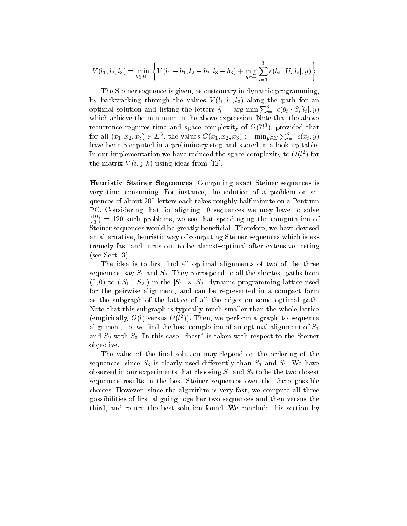$$
V(l_1, l_2, l_3) = \min_{b \in B^+} \left\{ V(l_1 - b_1, l_2 - b_2, l_3 - b_3) + \min_{y \in \Sigma} \sum_{i=1}^3 c(b_i \cdot U_i[l_i], y) \right\}
$$

The Steiner sequence is given, as customary in dynamic programming. by backtracking through the values  $V(l_1, l_2, l_3)$  along the path for an optimal solution and listing the letters  $\hat{y} = \arg \min \sum_{i=1}^{3} c(b_i \cdot S_i[l_i], y)$ which achieve the minimum in the above expression. Note that the above recurrence requires time and space complexity of  $O(7^{3})$ , provided that for all  $(x_1, x_2, x_3) \in \Sigma^3$ , the values  $C(x_1, x_2, x_3) := \min_{y \in \Sigma} \sum_{i=1}^3 c(x_i, y)$ have been omputed in a preliminary step and stored in a look-up table. In our implementation we have reduced the space complexity to  $O(l^2)$  for the matrix  $V(i, j, k)$  using ideas from [12].

Heuristic Steiner Sequences Computing exact Steiner sequences is very time onsuming. For instan
e, the solution of a problem on sequen
es of about 200 letters ea
h takes roughly half minute on a Pentium PC. Considering that for aligning 10 sequences we may have to solve  $(10)$  $\overline{\phantom{a}}$ = 120 su
h problems, we see that speeding up the omputation of Steiner sequences would be greatly beneficial. Therefore, we have devised an alternative, heuristic way of computing Steiner sequences which is extremely fast and turns out to be almost-optimal after extensive testing  $(see Sect. 3).$ 

The idea is to first find all optimal alignments of two of the three sequences, say  $S_1$  and  $S_2$ . They correspond to all the shortest paths from  $(0,0)$  to  $(|S_1|, |S_2|)$  in the  $|S_1| \times |S_2|$  dynamic programming lattice used for the pairwise alignment, and can be represented in a compact form as the subgraph of the latti
e of all the edges on some optimal path. Note that this subgraph is typically much smaller than the whole lattice (empirically,  $O(l)$  versus  $O(l^2)$ ). Then, we perform a graph-to-sequence alignment, i.e. we find the best completion of an optimal alignment of  $S_1$ and  $S_2$  with  $S_3$ . In this case, "best" is taken with respect to the Steiner ob je
tive.

The value of the final solution may depend on the ordering of the sequences, since  $S_3$  is clearly used differently than  $S_1$  and  $S_2$ . We have observed in our experiments that choosing  $S_1$  and  $S_2$  to be the two closest sequences results in the best Steiner sequences over the three possible hoi
es. However, sin
e the algorithm is very fast, we ompute all three possibilities of first aligning together two sequences and then versus the third, and return the best solution found. We on
lude this se
tion by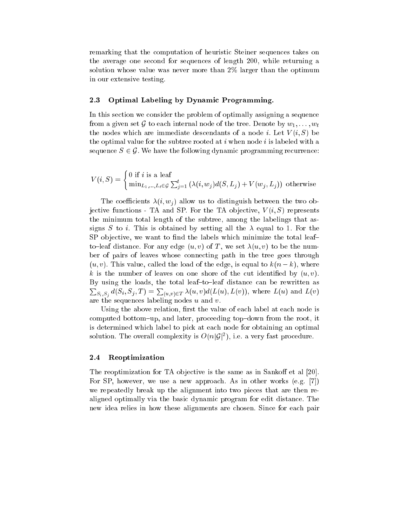remarking that the omputation of heuristi Steiner sequen
es takes on the average one se
ond for sequen
es of length 200, while returning a solution whose value was never more than 2% larger than the optimum in our extensive testing.

## 2.3 Optimal Labeling by Dynamic Programming.

In this section we consider the problem of optimally assigning a sequence from a given set G to each internal node of the tree. Denote by  $w_1, \ldots, w_t$ the nodes which are immediate descendants of a node *i*. Let  $V(i, S)$  be the optimal value for the subtree rooted at  $i$  when node  $i$  is labeled with a sequence  $S \in \mathcal{G}$ . We have the following dynamic programming recurrence:

$$
V(i, S) = \begin{cases} 0 \text{ if } i \text{ is a leaf} \\ \min_{L_1, \dots, L_t \in \mathcal{G}} \sum_{j=1}^t \left( \lambda(i, w_j) d(S, L_j) + V(w_j, L_j) \right) \text{ otherwise} \end{cases}
$$

The coefficients  $\lambda(i, w_i)$  allow us to distinguish between the two objective functions - TA and SP. For the TA objective,  $V(i, S)$  represents the minimum total length of the subtree, among the labelings that assigns S to i. This is obtained by setting all the  $\lambda$  equal to 1. For the SP objective, we want to find the labels which minimize the total leafto-leaf distance. For any edge  $(u, v)$  of T, we set  $\lambda(u, v)$  to be the number of pairs of leaves whose onne
ting path in the tree goes through  $(u, v)$ . This value, called the load of the edge, is equal to  $k(n - k)$ , where k is the number of leaves on one shore of the cut identified by  $(u, v)$ . By using the loads, the total leaf-to-leaf distance can be rewritten as  $\sum_{S_i, S_j} d(S_i, S_j, T) = \sum_{(u,v) \in T} \lambda(u, v) d(L(u), L(v)),$  where  $L(u)$  and  $L(v)$ are the sequen
es labeling nodes u and v.

Using the above relation, first the value of each label at each node is computed bottom-up, and later, proceeding top-down from the root, it is determined whi
h label to pi
k at ea
h node for obtaining an optimal solution. The overall complexity is  $O(n|\mathcal{G}|^2)$ , i.e. a very fast procedure.

## 2.4 Reoptimization

 $\sim$ 

The reoptimization for TA objective is the same as in Sankoff et al [20]. For SP, however, we use a new approach. As in other works  $(e.g. [7])$ we repeatedly break up the alignment into two pieces that are then realigned optimally via the basi dynami program for edit distan
e. The new idea relies in how these alignments are hosen. Sin
e for ea
h pair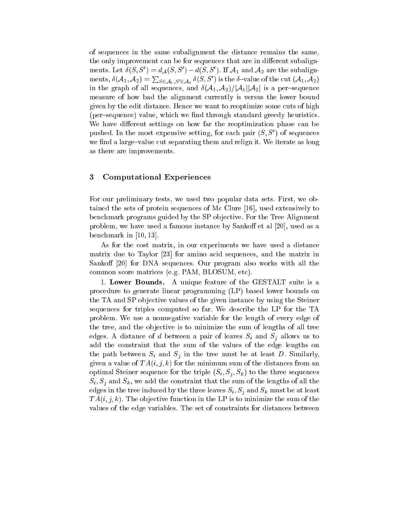of sequen
es in the same subalignment the distan
e remains the same, the only improvement can be for sequences that are in different subalignments. Let  $\delta(S, S') = d_{\mathcal{A}}(S, S') - d(S, S')$ . If  $\mathcal{A}_1$  and  $\mathcal{A}_2$  are the subalign- $\text{ments}, \delta(\mathcal{A}_1, \mathcal{A}_2) = \sum_{S \in \mathcal{A}_1, S' \in \mathcal{A}_2} \delta(S, S') \text{ is the } \delta \text{-value of the cut } (\mathcal{A}_1, \mathcal{A}_2)$ in the graph of all sequences, and  $\delta({\cal A}_1,{\cal A}_2)/|{\cal A}_1||{\cal A}_2|$  is a per–sequence measure of how bad the alignment urrently is versus the lower bound given by the edit distan
e. Hen
e we want to reoptimize some uts of high (per-sequence) value, which we find through standard greedy heuristics. We have different settings on how far the reoptimization phase can be pushed. In the most expensive setting, for each pair  $(S, S')$  of sequences we find a large-value cut separating them and relign it. We iterate as long as there are improvements.

## <sup>3</sup> Computational Experien
es

For our preliminary tests, we used two popular data sets. First, we obtained the sets of protein sequences of Mc Clure [16], used extensively to benchmark programs guided by the SP objective. For the Tree Alignment problem, we have used a famous instance by Sankoff et al [20], used as a benchmark in  $[10, 13]$ .

As for the cost matrix, in our experiments we have used a distance matrix due to Taylor  $[23]$  for amino acid sequences, and the matrix in Sankoff [20] for DNA sequences. Our program also works with all the ommon s
ore matri
es (e.g. PAM, BLOSUM, et
).

1. Lower Bounds. A unique feature of the GESTALT suite is a pro
edure to generate linear programming (LP) based lower bounds on the TA and SP objective values of the given instance by using the Steiner sequences for triples computed so far. We describe the LP for the TA problem. We use a nonnegative variable for the length of every edge of the tree, and the objective is to minimize the sum of lengths of all tree edges. A distance of d between a pair of leaves  $S_i$  and  $S_j$  allows us to add the onstraint that the sum of the values of the edge lengths on the path between  $S_i$  and  $S_j$  in the tree must be at least D. Similarly, given a value of  $TA(i, j, k)$  for the minimum sum of the distances from an optimal Steiner sequence for the triple  $(S_i, S_j, S_k)$  to the three sequences  $S_i, S_j$  and  $S_k$ , we add the constraint that the sum of the lengths of all the edges in the tree induced by the three leaves  $S_i$ ,  $S_j$  and  $S_k$  must be at least  $TA(i, j, k)$ . The objective function in the LP is to minimize the sum of the values of the edge variables. The set of onstraints for distan
es between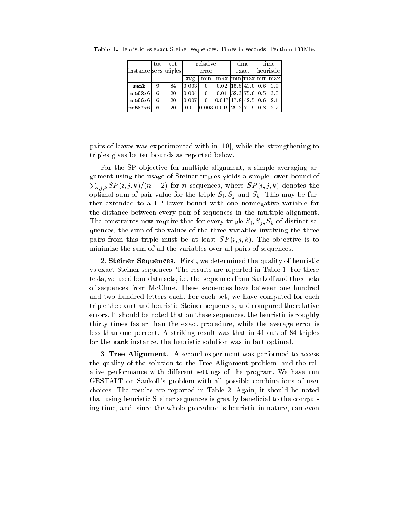|                       | tot | tot | relative |     |                       | time  |                 | time      |     |
|-----------------------|-----|-----|----------|-----|-----------------------|-------|-----------------|-----------|-----|
| instance segs triples |     |     | error    |     |                       | exact |                 | heuristic |     |
|                       |     |     | avg      | min | max                   |       | minlmaxlminlmax |           |     |
| sank                  | 9   | 84  | 0.003    |     | 0.02                  |       | 15.8141.010.6   |           | 1.9 |
| mc582x6               | 6   | 20  | [0.004]  |     | 0.01                  |       | 52.3 75.6 0.5   |           | 3.0 |
| mc586x6               | 6   | 20  | 10.0071  |     | $0.017$ 17.8 42.5 0.6 |       |                 |           | 2.1 |
| mc587x6               | 6   | 20  |          |     | 0.003[0.019]29.271.9  |       |                 |           | 2.7 |

Table 1. Heuristic vs exact Steiner sequences. Times in seconds, Pentium 133Mhz

pairs of leaves was experimented with in [10], while the strengthening to triples gives better bounds as reported below.

For the SP objective for multiple alignment, a simple averaging argument using the usage of Steiner triples yields a simple lower bound of  $\sum_{i,j,k} SP(i,j,k)/(n-2)$  for n sequences, where  $SP(i,j,k)$  denotes the optimal sum-of-pair value for the triple  $S_i$ ,  $S_j$  and  $S_k$ . This may be further extended to a LP lower bound with one nonnegative variable for the distan
e between every pair of sequen
es in the multiple alignment. The constraints now require that for every triple  $S_i$ ,  $S_j$ ,  $S_k$  of distinct sequen
es, the sum of the values of the three variables involving the three pairs from this triple must be at least  $SP(i, j, k)$ . The objective is to minimize the sum of all the variables over all pairs of sequences.

2. Steiner Sequen
es. First, we determined the quality of heuristi vs exa
t Steiner sequen
es. The results are reported in Table 1. For these tests, we used four data sets, i.e. the sequences from Sankoff and three sets of sequen
es from M
Clure. These sequen
es have between one hundred and two hundred letters each. For each set, we have computed for each triple the exa
t and heuristi Steiner sequen
es, and ompared the relative errors. It should be noted that on these sequences, the heuristic is roughly thirty times faster than the exa
t pro
edure, while the average error is less than one per
ent. A striking result was that in 41 out of 84 triples for the sank instance, the heuristic solution was in fact optimal.

3. Tree Alignment. A second experiment was performed to access the quality of the solution to the Tree Alignment problem, and the relative performance with different settings of the program. We have run GESTALT on Sankoff's problem with all possible combinations of user hoi
es. The results are reported in Table 2. Again, it should be noted that using heuristic Steiner sequences is greatly beneficial to the computing time, and, since the whole procedure is heuristic in nature, can even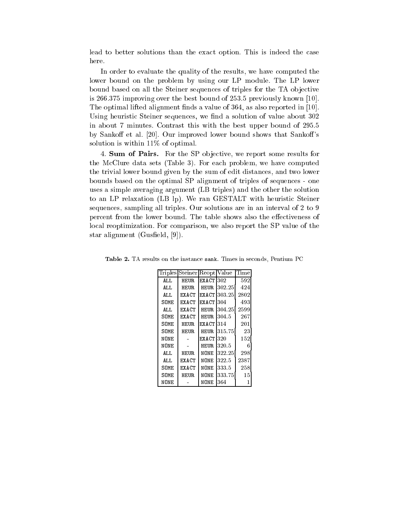lead to better solutions than the exact option. This is indeed the case here.

In order to evaluate the quality of the results, we have computed the lower bound on the problem by using our LP module. The LP lower bound based on all the Steiner sequences of triples for the TA objective is  $266.375$  improving over the best bound of  $253.5$  previously known [10]. The optimal lifted alignment finds a value of  $364$ , as also reported in [10]. Using heuristic Steiner sequences, we find a solution of value about 302 in about 7 minutes. Contrast this with the best upper bound of 295.5 by Sankoff et al. [20]. Our improved lower bound shows that Sankoff's solution is within 11% of optimal.

4. Sum of Pairs. For the SP objective, we report some results for the M
Clure data sets (Table 3). For ea
h problem, we have omputed the trivial lower bound given by the sum of edit distan
es, and two lower bounds based on the optimal SP alignment of triples of sequen
es - one uses a simple averaging argument (LB triples) and the other the solution to an LP relaxation (LB lp). We ran GESTALT with heuristi Steiner sequences, sampling all triples. Our solutions are in an interval of 2 to 9 percent from the lower bound. The table shows also the effectiveness of local reoptimization. For comparison, we also report the SP value of the star alignment (Gusfield,  $[9]$ ).

|      | Triples Steiner Reopt Value |                       |              | Time |
|------|-----------------------------|-----------------------|--------------|------|
| AL L | <b>HEUR</b>                 | EXACT <sub>1302</sub> |              | 592  |
| AL L | <b>HEUR</b>                 | <b>HEUR</b>           | 302.25       | 424  |
| ALL  | EXACT                       |                       | EXACT 303.25 | 2802 |
| SOME | EXACT                       | EXACT <sub>1304</sub> |              | 493  |
| AL L | EXACT                       | <b>HEUR</b>           | 304.25       | 2599 |
| SOME | <b>EXACT</b>                | <b>HEUR</b>           | 304.5        | 267  |
| SOME | <b>HEUR</b>                 | EXACT <sub>1314</sub> |              | 201  |
| SOME | <b>HEUR</b>                 | <b>HEUR</b>           | 315.75       | 23   |
| NONE |                             | EXACT 320             |              | 152  |
| NONE |                             | <b>HEUR</b>           | 320.5        | 6    |
| AL L | <b>HEUR</b>                 | NONE                  | 322.25       | 298  |
| AL L | <b>EXACT</b>                | NONE                  | 322.5        | 2387 |
| SOME | EXACT                       | NONE                  | 333.5        | 258  |
| SOME | <b>HEUR</b>                 | NONE                  | 333.75       | 15   |
| NONE |                             | NONE                  | 364          |      |

Table 2. TA results on the instance sank. Times in seconds, Pentium PC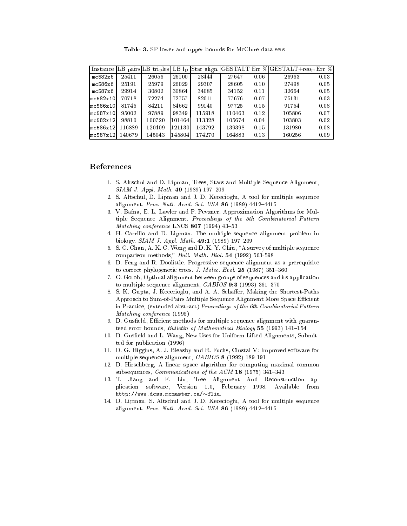Table 3. SP lower and upper bounds for McClure data sets

| Instance |        | LB pairs LB triples | $LB$ $lp$ |        |        |      | Star align. GESTALT Err % GESTALT+reop Err % |      |
|----------|--------|---------------------|-----------|--------|--------|------|----------------------------------------------|------|
| mc582x6  | 25411  | 26056               | 26100     | 28444  | 27647  | 0.06 | 26963                                        | 0.03 |
| mc586x6  | 25191  | 25979               | 26029     | 29307  | 28605  | 0.10 | 27498                                        | 0.05 |
| mc587x6  | 29914  | 30802               | 30864     | 34085  | 34152  | 0.11 | 32664                                        | 0.05 |
| mc582x10 | 70718  | 72274               | 72757     | 82011  | 77676  | 0.07 | 75131                                        | 0.03 |
| mc586x10 | 81745  | 84211               | 84662     | 99140  | 97725  | 0.15 | 91754                                        | 0.08 |
| mc587x10 | 95002  | 97889               | 98349     | 115918 | 110463 | 0.12 | 105806                                       | 0.07 |
| mc582x12 | 98810  | 100720              | 101464    | 113328 | 105674 | 0.04 | 103803                                       | 0.02 |
| mc586x12 | 116889 | 120409              | 121130    | 143792 | 139398 | 0.15 | 131980                                       | 0.08 |
| mc587x12 | 140679 | 145043              | 145804    | 174270 | 164883 | 0.13 | 160256                                       | 0.09 |

## References

- 1. S. Altschul and D. Lipman, Trees, Stars and Multiple Sequence Alignment, SIAM J. Appl. Math. 49 (1989) 197-209
- 2. S. Altschul, D. Lipman and J. D. Kececioglu, A tool for multiple sequence alignment. Proc. Natl. Acad. Sci. USA 86 (1989) 4412-4415
- 3. V. Bafna, E. L. Lawler and P. Pevzner. Approximation Algorithms for Multiple Sequence Alignment. Proceedings of the 5th Combinatorial Pattern Matching conference LNCS 807 (1994) 43-53
- 4. H. Carrillo and D. Lipman. The multiple sequence alignment problem in biology. SIAM J. Appl. Math. 49:1 (1989) 197-209
- 5. S. C. Chan, A. K. C. Wong and D. K. Y. Chiu, "A survey of multiple sequence comparison methods," Bull. Math. Biol. 54 (1992) 563-598
- 6. D. Feng and R. Doolittle. Progressive sequence alignment as a prerequisite to correct phylogenetic trees. J. Molec. Evol. 25 (1987) 351-360
- 7. O. Gotoh, Optimal alignment between groups of sequences and its application to multiple sequence alignment,  $CABIOS$  9:3 (1993) 361-370
- 8. S. K. Gupta, J. Kececioglu, and A. A. Schaffer, Making the Shortest-Paths Approach to Sum-of-Pairs Multiple Sequence Alignment More Space Efficient in Practice, (extended abstract) Proceedings of the 6th Combinatorial Pattern Matching conference (1995)
- 9. D. Gusfield, Efficient methods for multiple sequence alignment with guaranteed error bounds, Bulletin of Mathematical Biology 55 (1993) 141-154
- 10. D. Gusfield and L. Wang, New Uses for Uniform Lifted Alignments, Submitted for publication (1996)
- 11. D. G. Higgins, A. J. Bleasby and R. Fuchs, Clustal V: Improved software for multiple sequence alignment, *CABIOS* 8 (1992) 189-191
- 12. D. Hirschberg, A linear space algorithm for computing maximal common subsequences, *Communications of the ACM* 18 (1975) 341-343
- 13. T. Jiang and F. Liu, Tree Alignment And Reconstruction application software, Version 1.0, February 1998. Available from  $http://www.dcss.mcmaster.ca/~filiu.$
- 14. D. Lipman, S. Altschul and J. D. Kececioglu, A tool for multiple sequence alignment. Proc. Natl. Acad. Sci. USA 86 (1989) 4412-4415